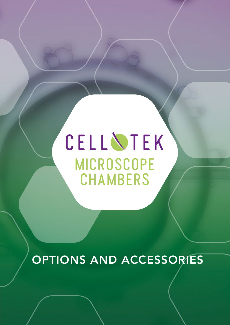MICROSCOPE CHAMBERS CELL NTEK

OPTIONS AND ACCESSORIES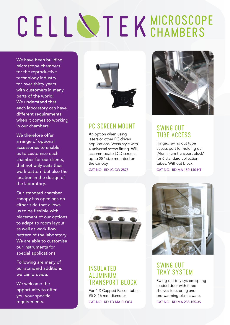# CELL NTEK MICROSCOPE

We have been building microscope chambers for the reproductive technology industry for over thirty years with customers in many parts of the world. We understand that each laboratory can have different requirements when it comes to working in our chambers.

We therefore offer a range of optional accessories to enable us to customise each chamber for our clients, that not only suits their work pattern but also the location in the design of the laboratory.

Our standard chamber canopy has openings on either side that allows us to be flexible with placement of our options to adapt to room layout as well as work flow pattern of the laboratory. We are able to customise our instruments for special applications.

Following are many of our standard additions we can provide.

We welcome the opportunity to offer you your specific requirements.



# PC SCREEN MOUNT

An option when using lasers or other PC driven applications. Versa style with 4 universal screw fitting. Will accommodate LCD screens up to 28" size mounted on the canopy.

CAT NO. RD JC CW 2878



# SWING OUT TUBE ACCESS

Hinged swing out tube access port for holding our 'Aluminium transport block' for 6 standard collection tubes. Without block.

CAT NO. RD MA 150-140 HT



# INSULATED ALUMINIUM TRANSPORT BLOCK

For 4 X Capped Falcon tubes 95 X 16 mm diameter. CAT NO. RD TD MA BLOC4



# SWING OUT TRAY SYSTEM

Swing-out tray system spring loaded door with three shelves for storing and pre-warming plastic ware. CAT NO. RD MA 285-155-3S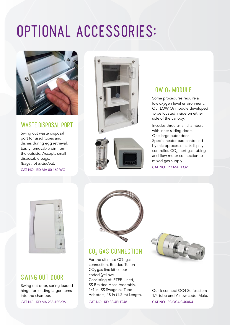# OPTIONAL ACCESSORIES:



## WASTE DISPOSAL PORT

Swing out waste disposal port for used tubes and dishes during egg retrieval. Easily removable bin from the outside. Accepts small disposable bags. *(Bags not included).* 

CAT NO. RD MA 80-160 WC





# $LOW$   $0<sub>2</sub>$  MODULE

Some procedures require a low oxygen level environment. Our LOW O<sub>2</sub> module developed to be located inside on either side of the canopy.

Incudes three small chambers with inner sliding doors. One large outer door. Special heater pad controlled by microprocessor set/display controller.  $CO<sub>2</sub>$  inert gas tubing and flow meter connection to mixed gas supply. CAT NO. RD MA LLO2



# SWING OUT DOOR

Swing out door, spring loaded hinge for loading larger items into the chamber.

CAT NO. RD MA 285-155-SW



# CO<sub>2</sub> GAS CONNECTION

For the ultimate  $CO<sub>2</sub>$  gas connection. Braided Teflon CO<sub>2</sub> gas line kit colour coded (yellow). Consisting of: PTFE-Lined, SS Braided Hose Assembly, 1/4 in. SS Swagelok Tube Adapters, 48 in (1.2 m) Length.

CAT NO. RD SS-4BHT-48



Quick connect QC4 Series stem 1/4 tube end Yellow code. Male. CAT NO. SS-QC4-S-400K4